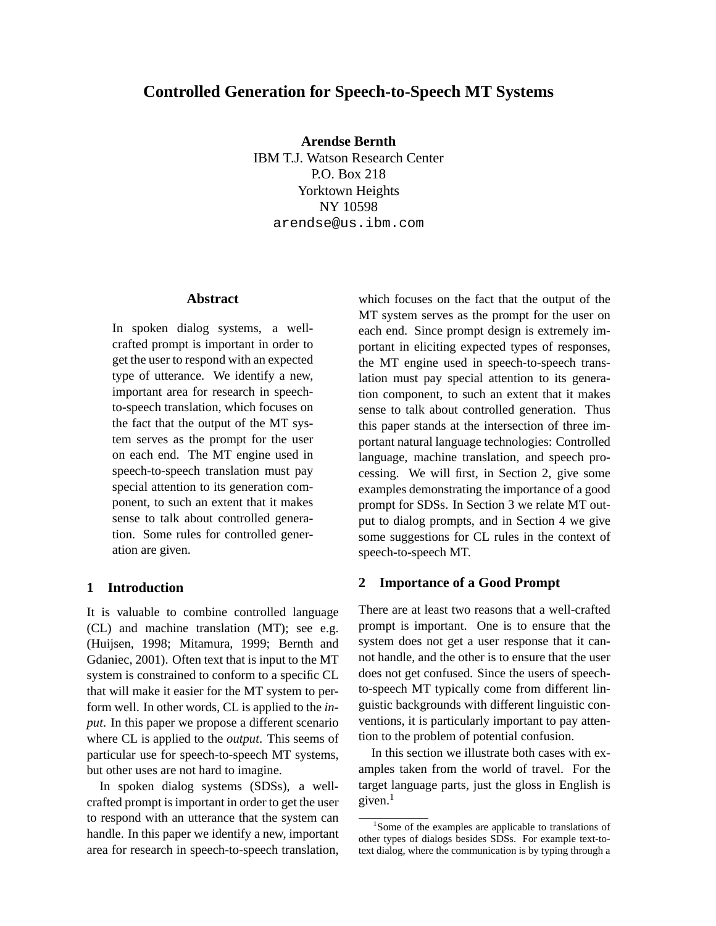# **Controlled Generation for Speech-to-Speech MT Systems**

**Arendse Bernth** IBM T.J. Watson Research Center P.O. Box 218 Yorktown Heights NY 10598 arendse@us.ibm.com

#### **Abstract**

In spoken dialog systems, a wellcrafted prompt is important in order to get the user to respond with an expected type of utterance. We identify a new, important area for research in speechto-speech translation, which focuses on the fact that the output of the MT system serves as the prompt for the user on each end. The MT engine used in speech-to-speech translation must pay special attention to its generation component, to such an extent that it makes sense to talk about controlled generation. Some rules for controlled generation are given.

### **1 Introduction**

It is valuable to combine controlled language (CL) and machine translation (MT); see e.g. (Huijsen, 1998; Mitamura, 1999; Bernth and Gdaniec, 2001). Often text that is input to the MT system is constrained to conform to a specific CL that will make it easier for the MT system to perform well. In other words, CL is applied to the *input*. In this paper we propose a different scenario where CL is applied to the *output*. This seems of particular use for speech-to-speech MT systems, but other uses are not hard to imagine.

In spoken dialog systems (SDSs), a wellcrafted prompt is important in order to get the user to respond with an utterance that the system can handle. In this paper we identify a new, important area for research in speech-to-speech translation, which focuses on the fact that the output of the MT system serves as the prompt for the user on each end. Since prompt design is extremely important in eliciting expected types of responses, the MT engine used in speech-to-speech translation must pay special attention to its generation component, to such an extent that it makes sense to talk about controlled generation. Thus this paper stands at the intersection of three important natural language technologies: Controlled language, machine translation, and speech processing. We will first, in Section 2, give some examples demonstrating the importance of a good prompt for SDSs. In Section 3 we relate MT output to dialog prompts, and in Section 4 we give some suggestions for CL rules in the context of speech-to-speech MT.

#### **2 Importance of a Good Prompt**

There are at least two reasons that a well-crafted prompt is important. One is to ensure that the system does not get a user response that it cannot handle, and the other is to ensure that the user does not get confused. Since the users of speechto-speech MT typically come from different linguistic backgrounds with different linguistic conventions, it is particularly important to pay attention to the problem of potential confusion.

In this section we illustrate both cases with examples taken from the world of travel. For the target language parts, just the gloss in English is given. $<sup>1</sup>$ </sup>

<sup>&</sup>lt;sup>1</sup>Some of the examples are applicable to translations of other types of dialogs besides SDSs. For example text-totext dialog, where the communication is by typing through a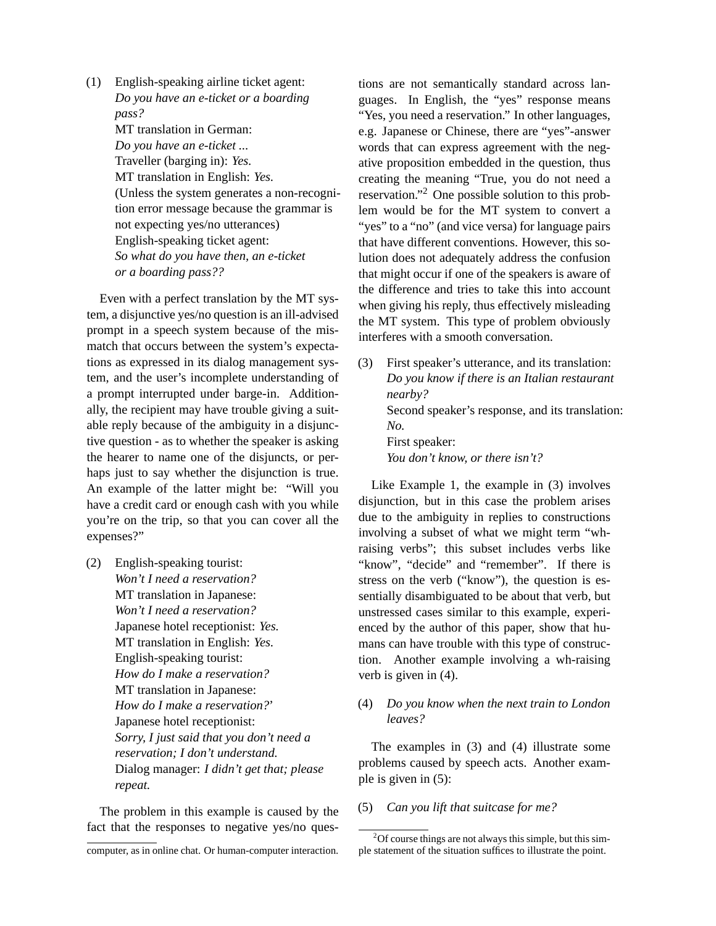(1) English-speaking airline ticket agent: *Do you have an e-ticket or a boarding pass?* MT translation in German: *Do you have an e-ticket ...* Traveller (barging in): *Yes.* MT translation in English: *Yes.* (Unless the system generates a non-recognition error message because the grammar is not expecting yes/no utterances) English-speaking ticket agent: *So what do you have then, an e-ticket or a boarding pass??*

Even with a perfect translation by the MT system, a disjunctive yes/no question is an ill-advised prompt in a speech system because of the mismatch that occurs between the system's expectations as expressed in its dialog management system, and the user's incomplete understanding of a prompt interrupted under barge-in. Additionally, the recipient may have trouble giving a suitable reply because of the ambiguity in a disjunctive question - as to whether the speaker is asking the hearer to name one of the disjuncts, or perhaps just to say whether the disjunction is true. An example of the latter might be: "Will you have a credit card or enough cash with you while you're on the trip, so that you can cover all the expenses?"

(2) English-speaking tourist: *Won't I need a reservation?* MT translation in Japanese: *Won't I need a reservation?* Japanese hotel receptionist: *Yes.* MT translation in English: *Yes.* English-speaking tourist: *How do I make a reservation?* MT translation in Japanese: *How do I make a reservation?*' Japanese hotel receptionist: *Sorry, I just said that you don't need a reservation; I don't understand.* Dialog manager: *I didn't get that; please repeat.*

The problem in this example is caused by the fact that the responses to negative yes/no ques-

computer, as in online chat. Or human-computer interaction.

tions are not semantically standard across languages. In English, the "yes" response means "Yes, you need a reservation." In other languages, e.g. Japanese or Chinese, there are "yes"-answer words that can express agreement with the negative proposition embedded in the question, thus creating the meaning "True, you do not need a reservation."<sup>2</sup> One possible solution to this problem would be for the MT system to convert a "yes" to a "no" (and vice versa) for language pairs that have different conventions. However, this solution does not adequately address the confusion that might occur if one of the speakers is aware of the difference and tries to take this into account when giving his reply, thus effectively misleading the MT system. This type of problem obviously interferes with a smooth conversation.

(3) First speaker's utterance, and its translation: *Do you know if there is an Italian restaurant nearby?* Second speaker's response, and its translation: *No.* First speaker: *You don't know, or there isn't?*

Like Example 1, the example in (3) involves disjunction, but in this case the problem arises due to the ambiguity in replies to constructions involving a subset of what we might term "whraising verbs"; this subset includes verbs like "know", "decide" and "remember". If there is stress on the verb ("know"), the question is essentially disambiguated to be about that verb, but unstressed cases similar to this example, experienced by the author of this paper, show that humans can have trouble with this type of construction. Another example involving a wh-raising verb is given in (4).

### (4) *Do you know when the next train to London leaves?*

The examples in (3) and (4) illustrate some problems caused by speech acts. Another example is given in (5):

(5) *Can you lift that suitcase for me?*

 $2^2$ Of course things are not always this simple, but this simple statement of the situation suffices to illustrate the point.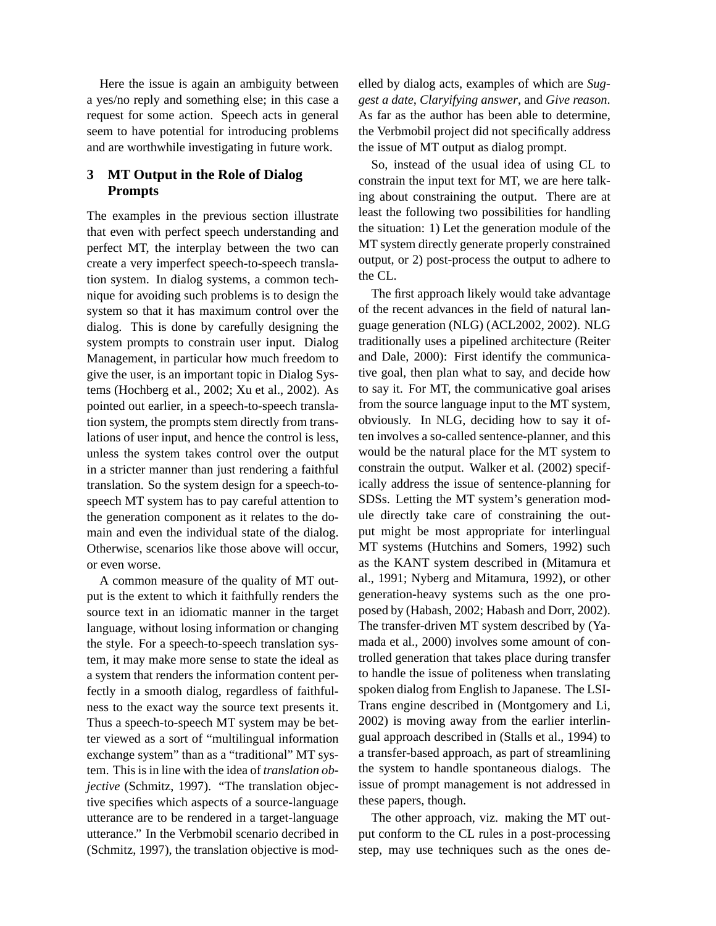Here the issue is again an ambiguity between a yes/no reply and something else; in this case a request for some action. Speech acts in general seem to have potential for introducing problems and are worthwhile investigating in future work.

# **3 MT Output in the Role of Dialog Prompts**

The examples in the previous section illustrate that even with perfect speech understanding and perfect MT, the interplay between the two can create a very imperfect speech-to-speech translation system. In dialog systems, a common technique for avoiding such problems is to design the system so that it has maximum control over the dialog. This is done by carefully designing the system prompts to constrain user input. Dialog Management, in particular how much freedom to give the user, is an important topic in Dialog Systems (Hochberg et al., 2002; Xu et al., 2002). As pointed out earlier, in a speech-to-speech translation system, the prompts stem directly from translations of user input, and hence the control is less, unless the system takes control over the output in a stricter manner than just rendering a faithful translation. So the system design for a speech-tospeech MT system has to pay careful attention to the generation component as it relates to the domain and even the individual state of the dialog. Otherwise, scenarios like those above will occur, or even worse.

A common measure of the quality of MT output is the extent to which it faithfully renders the source text in an idiomatic manner in the target language, without losing information or changing the style. For a speech-to-speech translation system, it may make more sense to state the ideal as a system that renders the information content perfectly in a smooth dialog, regardless of faithfulness to the exact way the source text presents it. Thus a speech-to-speech MT system may be better viewed as a sort of "multilingual information exchange system" than as a "traditional" MT system. This is in line with the idea of *translation objective* (Schmitz, 1997). "The translation objective specifies which aspects of a source-language utterance are to be rendered in a target-language utterance." In the Verbmobil scenario decribed in (Schmitz, 1997), the translation objective is modelled by dialog acts, examples of which are *Suggest a date*, *Claryifying answer*, and *Give reason*. As far as the author has been able to determine, the Verbmobil project did not specifically address the issue of MT output as dialog prompt.

So, instead of the usual idea of using CL to constrain the input text for MT, we are here talking about constraining the output. There are at least the following two possibilities for handling the situation: 1) Let the generation module of the MT system directly generate properly constrained output, or 2) post-process the output to adhere to the CL.

The first approach likely would take advantage of the recent advances in the field of natural language generation (NLG) (ACL2002, 2002). NLG traditionally uses a pipelined architecture (Reiter and Dale, 2000): First identify the communicative goal, then plan what to say, and decide how to say it. For MT, the communicative goal arises from the source language input to the MT system, obviously. In NLG, deciding how to say it often involves a so-called sentence-planner, and this would be the natural place for the MT system to constrain the output. Walker et al. (2002) specifically address the issue of sentence-planning for SDSs. Letting the MT system's generation module directly take care of constraining the output might be most appropriate for interlingual MT systems (Hutchins and Somers, 1992) such as the KANT system described in (Mitamura et al., 1991; Nyberg and Mitamura, 1992), or other generation-heavy systems such as the one proposed by (Habash, 2002; Habash and Dorr, 2002). The transfer-driven MT system described by (Yamada et al., 2000) involves some amount of controlled generation that takes place during transfer to handle the issue of politeness when translating spoken dialog from English to Japanese. The LSI-Trans engine described in (Montgomery and Li, 2002) is moving away from the earlier interlingual approach described in (Stalls et al., 1994) to a transfer-based approach, as part of streamlining the system to handle spontaneous dialogs. The issue of prompt management is not addressed in these papers, though.

The other approach, viz. making the MT output conform to the CL rules in a post-processing step, may use techniques such as the ones de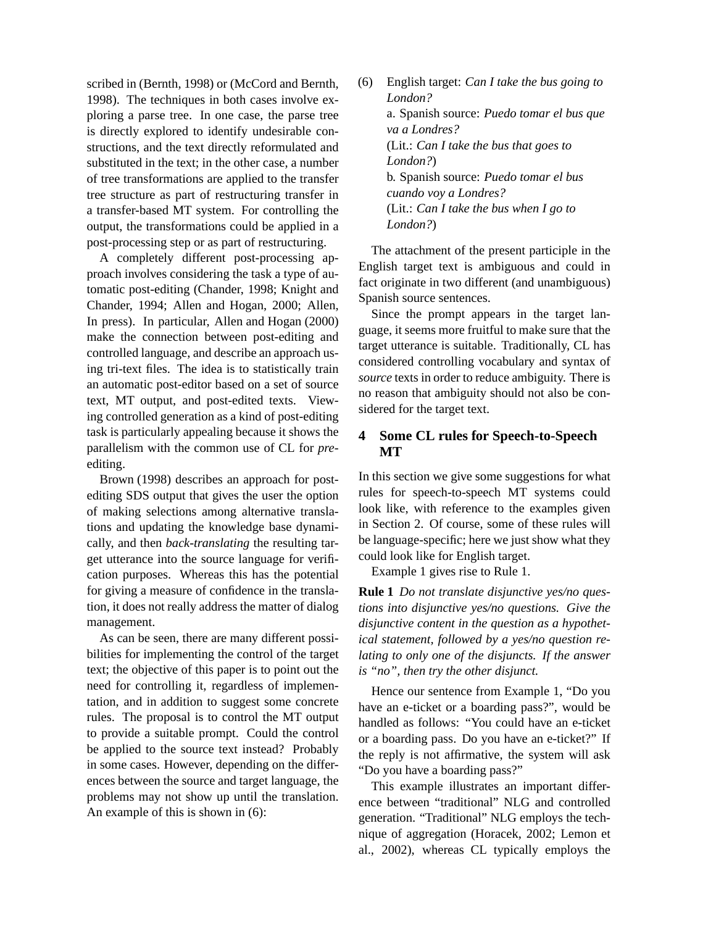scribed in (Bernth, 1998) or (McCord and Bernth, 1998). The techniques in both cases involve exploring a parse tree. In one case, the parse tree is directly explored to identify undesirable constructions, and the text directly reformulated and substituted in the text; in the other case, a number of tree transformations are applied to the transfer tree structure as part of restructuring transfer in a transfer-based MT system. For controlling the output, the transformations could be applied in a post-processing step or as part of restructuring.

A completely different post-processing approach involves considering the task a type of automatic post-editing (Chander, 1998; Knight and Chander, 1994; Allen and Hogan, 2000; Allen, In press). In particular, Allen and Hogan (2000) make the connection between post-editing and controlled language, and describe an approach using tri-text files. The idea is to statistically train an automatic post-editor based on a set of source text, MT output, and post-edited texts. Viewing controlled generation as a kind of post-editing task is particularly appealing because it shows the parallelism with the common use of CL for *pre*editing.

Brown (1998) describes an approach for postediting SDS output that gives the user the option of making selections among alternative translations and updating the knowledge base dynamically, and then *back-translating* the resulting target utterance into the source language for verification purposes. Whereas this has the potential for giving a measure of confidence in the translation, it does not really address the matter of dialog management.

As can be seen, there are many different possibilities for implementing the control of the target text; the objective of this paper is to point out the need for controlling it, regardless of implementation, and in addition to suggest some concrete rules. The proposal is to control the MT output to provide a suitable prompt. Could the control be applied to the source text instead? Probably in some cases. However, depending on the differences between the source and target language, the problems may not show up until the translation. An example of this is shown in (6):

(6) English target: *Can I take the bus going to London?* a. Spanish source: *Puedo tomar el bus que va a Londres?* (Lit.: *Can I take the bus that goes to London?*) b. Spanish source: *Puedo tomar el bus cuando voy a Londres?* (Lit.: *Can I take the bus when I go to London?*)

The attachment of the present participle in the English target text is ambiguous and could in fact originate in two different (and unambiguous) Spanish source sentences.

Since the prompt appears in the target language, it seems more fruitful to make sure that the target utterance is suitable. Traditionally, CL has considered controlling vocabulary and syntax of *source* texts in order to reduce ambiguity. There is no reason that ambiguity should not also be considered for the target text.

# **4 Some CL rules for Speech-to-Speech MT**

In this section we give some suggestions for what rules for speech-to-speech MT systems could look like, with reference to the examples given in Section 2. Of course, some of these rules will be language-specific; here we just show what they could look like for English target.

Example 1 gives rise to Rule 1.

**Rule 1** *Do not translate disjunctive yes/no questions into disjunctive yes/no questions. Give the disjunctive content in the question as a hypothetical statement, followed by a yes/no question relating to only one of the disjuncts. If the answer is "no", then try the other disjunct.*

Hence our sentence from Example 1, "Do you have an e-ticket or a boarding pass?", would be handled as follows: "You could have an e-ticket or a boarding pass. Do you have an e-ticket?" If the reply is not affirmative, the system will ask "Do you have a boarding pass?"

This example illustrates an important difference between "traditional" NLG and controlled generation. "Traditional" NLG employs the technique of aggregation (Horacek, 2002; Lemon et al., 2002), whereas CL typically employs the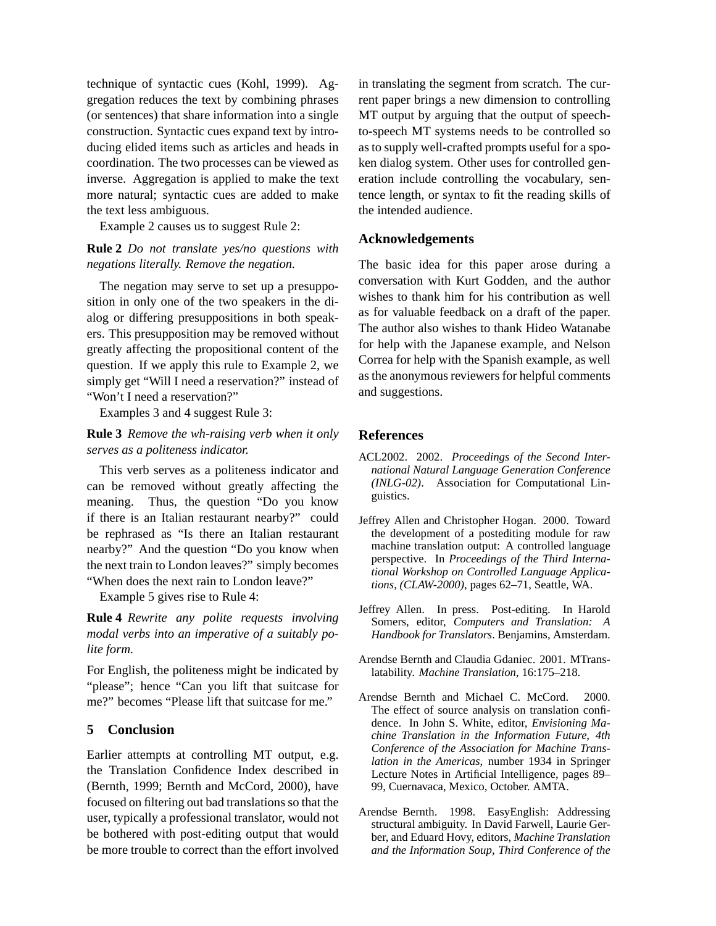technique of syntactic cues (Kohl, 1999). Aggregation reduces the text by combining phrases (or sentences) that share information into a single construction. Syntactic cues expand text by introducing elided items such as articles and heads in coordination. The two processes can be viewed as inverse. Aggregation is applied to make the text more natural; syntactic cues are added to make the text less ambiguous.

Example 2 causes us to suggest Rule 2:

### **Rule 2** *Do not translate yes/no questions with negations literally. Remove the negation.*

The negation may serve to set up a presupposition in only one of the two speakers in the dialog or differing presuppositions in both speakers. This presupposition may be removed without greatly affecting the propositional content of the question. If we apply this rule to Example 2, we simply get "Will I need a reservation?" instead of "Won't I need a reservation?"

Examples 3 and 4 suggest Rule 3:

## **Rule 3** *Remove the wh-raising verb when it only serves as a politeness indicator.*

This verb serves as a politeness indicator and can be removed without greatly affecting the meaning. Thus, the question "Do you know if there is an Italian restaurant nearby?" could be rephrased as "Is there an Italian restaurant nearby?" And the question "Do you know when the next train to London leaves?" simply becomes "When does the next rain to London leave?"

Example 5 gives rise to Rule 4:

**Rule 4** *Rewrite any polite requests involving modal verbs into an imperative of a suitably polite form.*

For English, the politeness might be indicated by "please"; hence "Can you lift that suitcase for me?" becomes "Please lift that suitcase for me."

## **5 Conclusion**

Earlier attempts at controlling MT output, e.g. the Translation Confidence Index described in (Bernth, 1999; Bernth and McCord, 2000), have focused on filtering out bad translations so that the user, typically a professional translator, would not be bothered with post-editing output that would be more trouble to correct than the effort involved in translating the segment from scratch. The current paper brings a new dimension to controlling MT output by arguing that the output of speechto-speech MT systems needs to be controlled so as to supply well-crafted prompts useful for a spoken dialog system. Other uses for controlled generation include controlling the vocabulary, sentence length, or syntax to fit the reading skills of the intended audience.

#### **Acknowledgements**

The basic idea for this paper arose during a conversation with Kurt Godden, and the author wishes to thank him for his contribution as well as for valuable feedback on a draft of the paper. The author also wishes to thank Hideo Watanabe for help with the Japanese example, and Nelson Correa for help with the Spanish example, as well as the anonymous reviewers for helpful comments and suggestions.

#### **References**

- ACL2002. 2002. *Proceedings of the Second International Natural Language Generation Conference (INLG-02)*. Association for Computational Linguistics.
- Jeffrey Allen and Christopher Hogan. 2000. Toward the development of a postediting module for raw machine translation output: A controlled language perspective. In *Proceedings of the Third International Workshop on Controlled Language Applications, (CLAW-2000)*, pages 62–71, Seattle, WA.
- Jeffrey Allen. In press. Post-editing. In Harold Somers, editor, *Computers and Translation: A Handbook for Translators*. Benjamins, Amsterdam.
- Arendse Bernth and Claudia Gdaniec. 2001. MTranslatability. *Machine Translation*, 16:175–218.
- Arendse Bernth and Michael C. McCord. 2000. The effect of source analysis on translation confidence. In John S. White, editor, *Envisioning Machine Translation in the Information Future, 4th Conference of the Association for Machine Translation in the Americas*, number 1934 in Springer Lecture Notes in Artificial Intelligence, pages 89– 99, Cuernavaca, Mexico, October. AMTA.
- Arendse Bernth. 1998. EasyEnglish: Addressing structural ambiguity. In David Farwell, Laurie Gerber, and Eduard Hovy, editors, *Machine Translation and the Information Soup, Third Conference of the*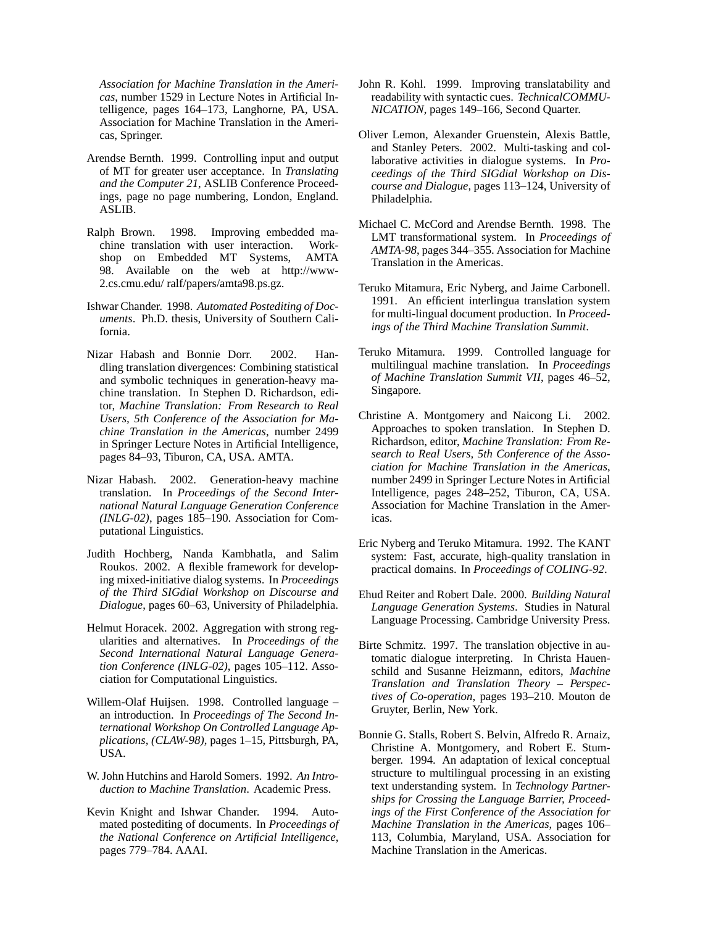*Association for Machine Translation in the Americas*, number 1529 in Lecture Notes in Artificial Intelligence, pages 164–173, Langhorne, PA, USA. Association for Machine Translation in the Americas, Springer.

- Arendse Bernth. 1999. Controlling input and output of MT for greater user acceptance. In *Translating and the Computer 21*, ASLIB Conference Proceedings, page no page numbering, London, England. ASLIB.
- Ralph Brown. 1998. Improving embedded machine translation with user interaction. Workshop on Embedded MT Systems, AMTA 98. Available on the web at http://www-2.cs.cmu.edu/ ralf/papers/amta98.ps.gz.
- Ishwar Chander. 1998. *Automated Postediting of Documents*. Ph.D. thesis, University of Southern California.
- Nizar Habash and Bonnie Dorr. 2002. Handling translation divergences: Combining statistical and symbolic techniques in generation-heavy machine translation. In Stephen D. Richardson, editor, *Machine Translation: From Research to Real Users, 5th Conference of the Association for Machine Translation in the Americas*, number 2499 in Springer Lecture Notes in Artificial Intelligence, pages 84–93, Tiburon, CA, USA. AMTA.
- Nizar Habash. 2002. Generation-heavy machine translation. In *Proceedings of the Second International Natural Language Generation Conference (INLG-02)*, pages 185–190. Association for Computational Linguistics.
- Judith Hochberg, Nanda Kambhatla, and Salim Roukos. 2002. A flexible framework for developing mixed-initiative dialog systems. In *Proceedings of the Third SIGdial Workshop on Discourse and Dialogue*, pages 60–63, University of Philadelphia.
- Helmut Horacek. 2002. Aggregation with strong regularities and alternatives. In *Proceedings of the Second International Natural Language Generation Conference (INLG-02)*, pages 105–112. Association for Computational Linguistics.
- Willem-Olaf Huijsen. 1998. Controlled language an introduction. In *Proceedings of The Second International Workshop On Controlled Language Applications, (CLAW-98)*, pages 1–15, Pittsburgh, PA, USA.
- W. John Hutchins and Harold Somers. 1992. *An Introduction to Machine Translation*. Academic Press.
- Kevin Knight and Ishwar Chander. 1994. Automated postediting of documents. In *Proceedings of the National Conference on Artificial Intelligence*, pages 779–784. AAAI.
- John R. Kohl. 1999. Improving translatability and readability with syntactic cues. *TechnicalCOMMU-NICATION*, pages 149–166, Second Quarter.
- Oliver Lemon, Alexander Gruenstein, Alexis Battle, and Stanley Peters. 2002. Multi-tasking and collaborative activities in dialogue systems. In *Proceedings of the Third SIGdial Workshop on Discourse and Dialogue*, pages 113–124, University of Philadelphia.
- Michael C. McCord and Arendse Bernth. 1998. The LMT transformational system. In *Proceedings of AMTA-98*, pages 344–355. Association for Machine Translation in the Americas.
- Teruko Mitamura, Eric Nyberg, and Jaime Carbonell. 1991. An efficient interlingua translation system for multi-lingual document production. In *Proceedings of the Third Machine Translation Summit*.
- Teruko Mitamura. 1999. Controlled language for multilingual machine translation. In *Proceedings of Machine Translation Summit VII*, pages 46–52, Singapore.
- Christine A. Montgomery and Naicong Li. 2002. Approaches to spoken translation. In Stephen D. Richardson, editor, *Machine Translation: From Research to Real Users, 5th Conference of the Association for Machine Translation in the Americas*, number 2499 in Springer Lecture Notes in Artificial Intelligence, pages 248–252, Tiburon, CA, USA. Association for Machine Translation in the Americas.
- Eric Nyberg and Teruko Mitamura. 1992. The KANT system: Fast, accurate, high-quality translation in practical domains. In *Proceedings of COLING-92*.
- Ehud Reiter and Robert Dale. 2000. *Building Natural Language Generation Systems*. Studies in Natural Language Processing. Cambridge University Press.
- Birte Schmitz. 1997. The translation objective in automatic dialogue interpreting. In Christa Hauenschild and Susanne Heizmann, editors, *Machine Translation and Translation Theory – Perspectives of Co-operation*, pages 193–210. Mouton de Gruyter, Berlin, New York.
- Bonnie G. Stalls, Robert S. Belvin, Alfredo R. Arnaiz, Christine A. Montgomery, and Robert E. Stumberger. 1994. An adaptation of lexical conceptual structure to multilingual processing in an existing text understanding system. In *Technology Partnerships for Crossing the Language Barrier, Proceedings of the First Conference of the Association for Machine Translation in the Americas*, pages 106– 113, Columbia, Maryland, USA. Association for Machine Translation in the Americas.